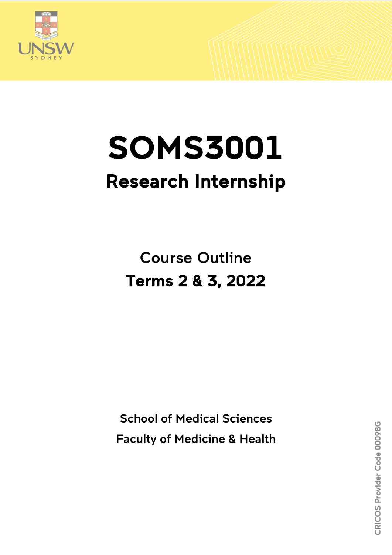

# SOMS3001 Research Internship

Course Outline Terms 2 & 3, 2022

School of Medical Sciences Faculty of Medicine & Health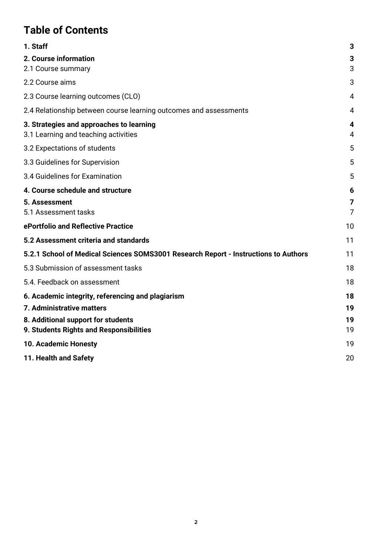# **Table of Contents**

| 1. Staff                                                                            | 3              |
|-------------------------------------------------------------------------------------|----------------|
| 2. Course information                                                               | 3              |
| 2.1 Course summary                                                                  | 3              |
| 2.2 Course aims                                                                     | 3              |
| 2.3 Course learning outcomes (CLO)                                                  | 4              |
| 2.4 Relationship between course learning outcomes and assessments                   | $\overline{4}$ |
| 3. Strategies and approaches to learning<br>3.1 Learning and teaching activities    | 4<br>4         |
| 3.2 Expectations of students                                                        | 5              |
| 3.3 Guidelines for Supervision                                                      | 5              |
| 3.4 Guidelines for Examination                                                      | 5              |
| 4. Course schedule and structure                                                    | 6              |
| 5. Assessment                                                                       | 7              |
| 5.1 Assessment tasks                                                                | $\overline{7}$ |
| ePortfolio and Reflective Practice                                                  | 10             |
| 5.2 Assessment criteria and standards                                               | 11             |
| 5.2.1 School of Medical Sciences SOMS3001 Research Report - Instructions to Authors | 11             |
| 5.3 Submission of assessment tasks                                                  | 18             |
| 5.4. Feedback on assessment                                                         | 18             |
| 6. Academic integrity, referencing and plagiarism                                   | 18             |
| 7. Administrative matters                                                           | 19             |
| 8. Additional support for students                                                  | 19             |
| 9. Students Rights and Responsibilities                                             | 19             |
| 10. Academic Honesty                                                                | 19             |
| 11. Health and Safety                                                               | 20             |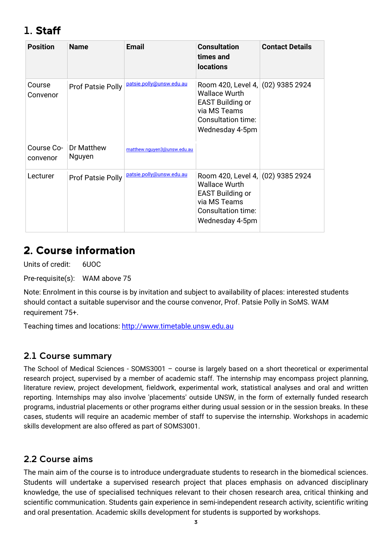# <span id="page-2-0"></span>1. Staff

| <b>Position</b>        | <b>Name</b>              | <b>Email</b>                | <b>Consultation</b><br>times and<br><b>locations</b>                                                                                          | <b>Contact Details</b> |
|------------------------|--------------------------|-----------------------------|-----------------------------------------------------------------------------------------------------------------------------------------------|------------------------|
| Course<br>Convenor     | Prof Patsie Polly        | patsie.polly@unsw.edu.au    | Room 420, Level 4, (02) 9385 2924<br><b>Wallace Wurth</b><br><b>EAST Building or</b><br>via MS Teams<br>Consultation time:<br>Wednesday 4-5pm |                        |
| Course Co-<br>convenor | Dr Matthew<br>Nguyen     | matthew.nguyen3@unsw.edu.au |                                                                                                                                               |                        |
| Lecturer               | <b>Prof Patsie Polly</b> | patsie.polly@unsw.edu.au    | Room 420, Level 4, (02) 9385 2924<br><b>Wallace Wurth</b><br><b>EAST Building or</b><br>via MS Teams<br>Consultation time:<br>Wednesday 4-5pm |                        |

## <span id="page-2-1"></span>2. Course information

Units of credit: 6UOC

Pre-requisite(s): WAM above 75

Note: Enrolment in this course is by invitation and subject to availability of places: interested students should contact a suitable supervisor and the course convenor, Prof. Patsie Polly in SoMS. WAM requirement 75+.

Teaching times and locations: [http://www.timetable.unsw.edu.au](http://www.timetable.unsw.edu.au/)

### <span id="page-2-2"></span>2.1 Course summary

The School of Medical Sciences - SOMS3001 – course is largely based on a short theoretical or experimental research project, supervised by a member of academic staff. The internship may encompass project planning, literature review, project development, fieldwork, experimental work, statistical analyses and oral and written reporting. Internships may also involve 'placements' outside UNSW, in the form of externally funded research programs, industrial placements or other programs either during usual session or in the session breaks. In these cases, students will require an academic member of staff to supervise the internship. Workshops in academic skills development are also offered as part of SOMS3001.

## <span id="page-2-3"></span>2.2 Course aims

The main aim of the course is to introduce undergraduate students to research in the biomedical sciences. Students will undertake a supervised research project that places emphasis on advanced disciplinary knowledge, the use of specialised techniques relevant to their chosen research area, critical thinking and scientific communication. Students gain experience in semi-independent research activity, scientific writing and oral presentation. Academic skills development for students is supported by workshops.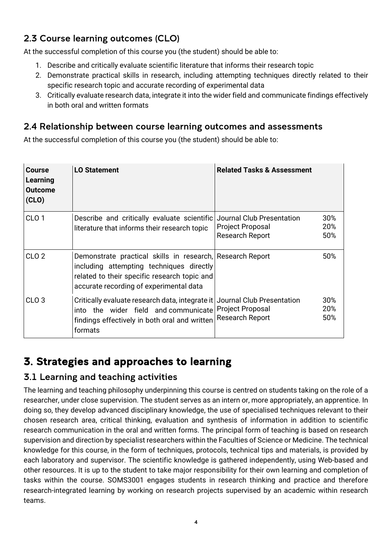## <span id="page-3-0"></span>2.3 Course learning outcomes (CLO)

At the successful completion of this course you (the student) should be able to:

- 1. Describe and critically evaluate scientific literature that informs their research topic
- 2. Demonstrate practical skills in research, including attempting techniques directly related to their specific research topic and accurate recording of experimental data
- 3. Critically evaluate research data, integrate it into the wider field and communicate findings effectively in both oral and written formats

## <span id="page-3-1"></span>2.4 Relationship between course learning outcomes and assessments

At the successful completion of this course you (the student) should be able to:

| Course<br>Learning<br>Outcome<br>(CLO) | <b>LO Statement</b>                                                                                                                                                                              | <b>Related Tasks &amp; Assessment</b>                                                 |
|----------------------------------------|--------------------------------------------------------------------------------------------------------------------------------------------------------------------------------------------------|---------------------------------------------------------------------------------------|
| CLO <sub>1</sub>                       | Describe and critically evaluate scientific<br>literature that informs their research topic                                                                                                      | 30%<br>Journal Club Presentation<br>20%<br>Project Proposal<br>Research Report<br>50% |
| CLO <sub>2</sub>                       | Demonstrate practical skills in research, Research Report<br>including attempting techniques directly<br>related to their specific research topic and<br>accurate recording of experimental data | 50%                                                                                   |
| CLO <sub>3</sub>                       | Critically evaluate research data, integrate it<br>into the wider field and communicate Project Proposal<br>findings effectively in both oral and written<br>formats                             | 30%<br>Journal Club Presentation<br>20%<br><b>Research Report</b><br>50%              |

# <span id="page-3-2"></span>3. Strategies and approaches to learning

## <span id="page-3-3"></span>3.1 Learning and teaching activities

The learning and teaching philosophy underpinning this course is centred on students taking on the role of a researcher, under close supervision. The student serves as an intern or, more appropriately, an apprentice. In doing so, they develop advanced disciplinary knowledge, the use of specialised techniques relevant to their chosen research area, critical thinking, evaluation and synthesis of information in addition to scientific research communication in the oral and written forms. The principal form of teaching is based on research supervision and direction by specialist researchers within the Faculties of Science or Medicine. The technical knowledge for this course, in the form of techniques, protocols, technical tips and materials, is provided by each laboratory and supervisor. The scientific knowledge is gathered independently, using Web-based and other resources. It is up to the student to take major responsibility for their own learning and completion of tasks within the course. SOMS3001 engages students in research thinking and practice and therefore research-integrated learning by working on research projects supervised by an academic within research teams.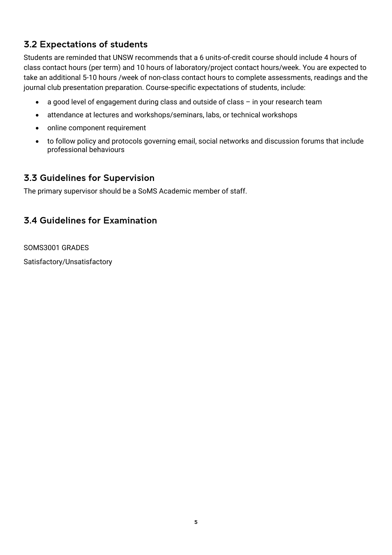## <span id="page-4-0"></span>3.2 Expectations of students

Students are reminded that UNSW recommends that a 6 units-of-credit course should include 4 hours of class contact hours (per term) and 10 hours of laboratory/project contact hours/week. You are expected to take an additional 5-10 hours /week of non-class contact hours to complete assessments, readings and the journal club presentation preparation. Course-specific expectations of students, include:

- a good level of engagement during class and outside of class in your research team
- attendance at lectures and workshops/seminars, labs, or technical workshops
- online component requirement
- to follow policy and protocols governing email, social networks and discussion forums that include professional behaviours

#### <span id="page-4-1"></span>3.3 Guidelines for Supervision

The primary supervisor should be a SoMS Academic member of staff.

## <span id="page-4-2"></span>3.4 Guidelines for Examination

SOMS3001 GRADES

Satisfactory/Unsatisfactory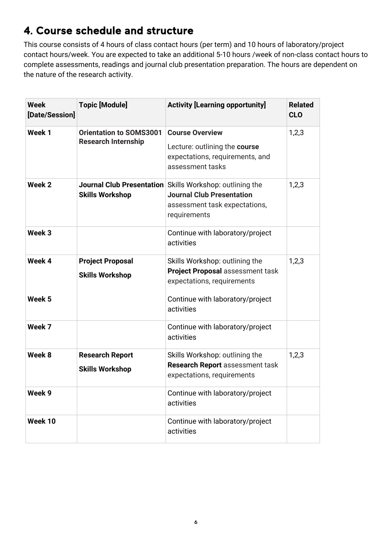# <span id="page-5-0"></span>4. Course schedule and structure

This course consists of 4 hours of class contact hours (per term) and 10 hours of laboratory/project contact hours/week. You are expected to take an additional 5-10 hours /week of non-class contact hours to complete assessments, readings and journal club presentation preparation. The hours are dependent on the nature of the research activity.

| <b>Week</b><br>[Date/Session] | <b>Topic [Module]</b>                                        | <b>Activity [Learning opportunity]</b>                                                                                                        | <b>Related</b><br><b>CLO</b> |
|-------------------------------|--------------------------------------------------------------|-----------------------------------------------------------------------------------------------------------------------------------------------|------------------------------|
| Week 1                        | <b>Orientation to SOMS3001</b><br><b>Research Internship</b> | <b>Course Overview</b><br>Lecture: outlining the course<br>expectations, requirements, and<br>assessment tasks                                | 1,2,3                        |
| Week 2                        | <b>Skills Workshop</b>                                       | Journal Club Presentation Skills Workshop: outlining the<br><b>Journal Club Presentation</b><br>assessment task expectations,<br>requirements | 1,2,3                        |
| Week <sub>3</sub>             |                                                              | Continue with laboratory/project<br>activities                                                                                                |                              |
| Week 4                        | <b>Project Proposal</b><br><b>Skills Workshop</b>            | Skills Workshop: outlining the<br>Project Proposal assessment task<br>expectations, requirements                                              | 1,2,3                        |
| Week 5                        |                                                              | Continue with laboratory/project<br>activities                                                                                                |                              |
| Week 7                        |                                                              | Continue with laboratory/project<br>activities                                                                                                |                              |
| Week 8                        | <b>Research Report</b><br><b>Skills Workshop</b>             | Skills Workshop: outlining the<br>Research Report assessment task<br>expectations, requirements                                               | 1,2,3                        |
| Week 9                        |                                                              | Continue with laboratory/project<br>activities                                                                                                |                              |
| Week 10                       |                                                              | Continue with laboratory/project<br>activities                                                                                                |                              |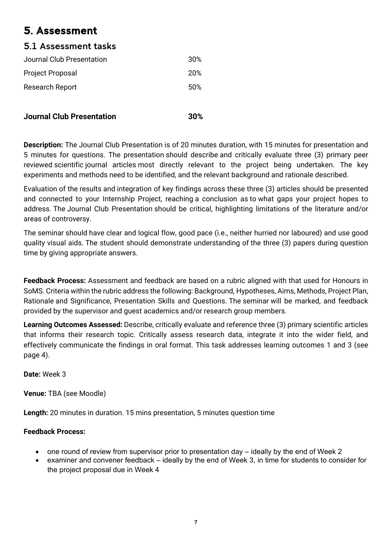# <span id="page-6-0"></span>5. Assessment

## <span id="page-6-1"></span>5.1 Assessment tasks

| 30% |
|-----|
| 20% |
| 50% |
|     |

| <b>Journal Club Presentation</b> | 30% |
|----------------------------------|-----|
|                                  |     |

**Description:** The Journal Club Presentation is of 20 minutes duration, with 15 minutes for presentation and 5 minutes for questions. The presentation should describe and critically evaluate three (3) primary peer reviewed scientific journal articles most directly relevant to the project being undertaken. The key experiments and methods need to be identified, and the relevant background and rationale described.

Evaluation of the results and integration of key findings across these three (3) articles should be presented and connected to your Internship Project, reaching a conclusion as to what gaps your project hopes to address. The Journal Club Presentation should be critical, highlighting limitations of the literature and/or areas of controversy.

The seminar should have clear and logical flow, good pace (i.e., neither hurried nor laboured) and use good quality visual aids. The student should demonstrate understanding of the three (3) papers during question time by giving appropriate answers.

**Feedback Process:** Assessment and feedback are based on a rubric aligned with that used for Honours in SoMS. Criteria within the rubric address the following: Background, Hypotheses, Aims, Methods, Project Plan, Rationale and Significance, Presentation Skills and Questions. The seminar will be marked, and feedback provided by the supervisor and guest academics and/or research group members.

**Learning Outcomes Assessed:** Describe, critically evaluate and reference three (3) primary scientific articles that informs their research topic. Critically assess research data, integrate it into the wider field, and effectively communicate the findings in oral format. This task addresses learning outcomes 1 and 3 (see page 4).

**Date:** Week 3

**Venue:** TBA (see Moodle)

**Length:** 20 minutes in duration. 15 mins presentation, 5 minutes question time

#### **Feedback Process:**

- one round of review from supervisor prior to presentation day ideally by the end of Week 2
- examiner and convener feedback ideally by the end of Week 3, in time for students to consider for the project proposal due in Week 4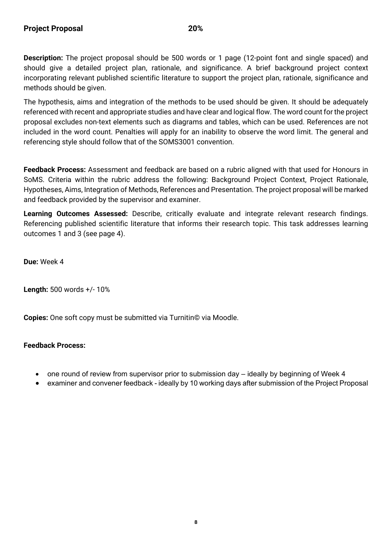**Description:** The project proposal should be 500 words or 1 page (12-point font and single spaced) and should give a detailed project plan, rationale, and significance. A brief background project context incorporating relevant published scientific literature to support the project plan, rationale, significance and methods should be given.

The hypothesis, aims and integration of the methods to be used should be given. It should be adequately referenced with recent and appropriate studies and have clear and logical flow. The word count for the project proposal excludes non-text elements such as diagrams and tables, which can be used. References are not included in the word count. Penalties will apply for an inability to observe the word limit. The general and referencing style should follow that of the SOMS3001 convention.

**Feedback Process:** Assessment and feedback are based on a rubric aligned with that used for Honours in SoMS. Criteria within the rubric address the following: Background Project Context, Project Rationale, Hypotheses, Aims, Integration of Methods, References and Presentation. The project proposal will be marked and feedback provided by the supervisor and examiner.

**Learning Outcomes Assessed:** Describe, critically evaluate and integrate relevant research findings. Referencing published scientific literature that informs their research topic. This task addresses learning outcomes 1 and 3 (see page 4).

**Due:** Week 4

**Length:** 500 words +/- 10%

**Copies:** One soft copy must be submitted via Turnitin© via Moodle.

#### **Feedback Process:**

- one round of review from supervisor prior to submission day ideally by beginning of Week 4
- examiner and convener feedback ideally by 10 working days after submission of the Project Proposal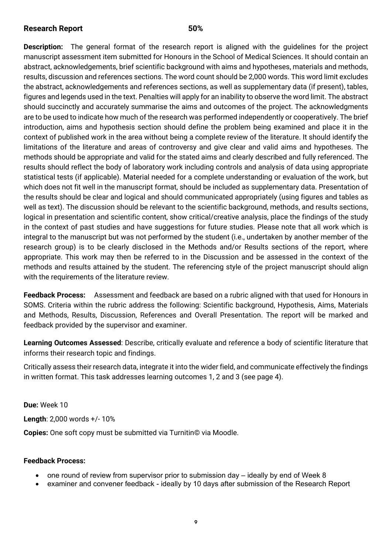#### **Research Report 50%**

**Description:** The general format of the research report is aligned with the guidelines for the project manuscript assessment item submitted for Honours in the School of Medical Sciences. It should contain an abstract, acknowledgements, brief scientific background with aims and hypotheses, materials and methods, results, discussion and references sections. The word count should be 2,000 words. This word limit excludes the abstract, acknowledgements and references sections, as well as supplementary data (if present), tables, figures and legends used in the text. Penalties will apply for an inability to observe the word limit. The abstract should succinctly and accurately summarise the aims and outcomes of the project. The acknowledgments are to be used to indicate how much of the research was performed independently or cooperatively. The brief introduction, aims and hypothesis section should define the problem being examined and place it in the context of published work in the area without being a complete review of the literature. It should identify the limitations of the literature and areas of controversy and give clear and valid aims and hypotheses. The methods should be appropriate and valid for the stated aims and clearly described and fully referenced. The results should reflect the body of laboratory work including controls and analysis of data using appropriate statistical tests (if applicable). Material needed for a complete understanding or evaluation of the work, but which does not fit well in the manuscript format, should be included as supplementary data. Presentation of the results should be clear and logical and should communicated appropriately (using figures and tables as well as text). The discussion should be relevant to the scientific background, methods, and results sections, logical in presentation and scientific content, show critical/creative analysis, place the findings of the study in the context of past studies and have suggestions for future studies. Please note that all work which is integral to the manuscript but was not performed by the student (i.e., undertaken by another member of the research group) is to be clearly disclosed in the Methods and/or Results sections of the report, where appropriate. This work may then be referred to in the Discussion and be assessed in the context of the methods and results attained by the student. The referencing style of the project manuscript should align with the requirements of the literature review.

**Feedback Process:** Assessment and feedback are based on a rubric aligned with that used for Honours in SOMS. Criteria within the rubric address the following: Scientific background, Hypothesis, Aims, Materials and Methods, Results, Discussion, References and Overall Presentation. The report will be marked and feedback provided by the supervisor and examiner.

**Learning Outcomes Assessed**: Describe, critically evaluate and reference a body of scientific literature that informs their research topic and findings.

Critically assess their research data, integrate it into the wider field, and communicate effectively the findings in written format. This task addresses learning outcomes 1, 2 and 3 (see page 4).

**Due:** Week 10 **Length**: 2,000 words +/- 10%

**Copies:** One soft copy must be submitted via Turnitin© via Moodle.

#### **Feedback Process:**

- one round of review from supervisor prior to submission day ideally by end of Week 8
- examiner and convener feedback ideally by 10 days after submission of the Research Report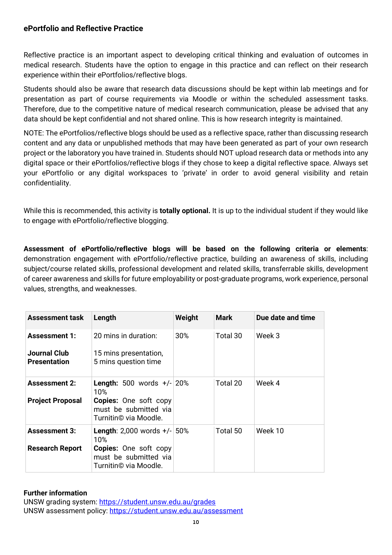#### <span id="page-9-0"></span>**ePortfolio and Reflective Practice**

Reflective practice is an important aspect to developing critical thinking and evaluation of outcomes in medical research. Students have the option to engage in this practice and can reflect on their research experience within their ePortfolios/reflective blogs.

Students should also be aware that research data discussions should be kept within lab meetings and for presentation as part of course requirements via Moodle or within the scheduled assessment tasks. Therefore, due to the competitive nature of medical research communication, please be advised that any data should be kept confidential and not shared online. This is how research integrity is maintained.

NOTE: The ePortfolios/reflective blogs should be used as a reflective space, rather than discussing research content and any data or unpublished methods that may have been generated as part of your own research project or the laboratory you have trained in. Students should NOT upload research data or methods into any digital space or their ePortfolios/reflective blogs if they chose to keep a digital reflective space. Always set your ePortfolio or any digital workspaces to 'private' in order to avoid general visibility and retain confidentiality.

While this is recommended, this activity is **totally optional.** It is up to the individual student if they would like to engage with ePortfolio/reflective blogging.

**Assessment of ePortfolio/reflective blogs will be based on the following criteria or elements**: demonstration engagement with ePortfolio/reflective practice, building an awareness of skills, including subject/course related skills, professional development and related skills, transferrable skills, development of career awareness and skills for future employability or post-graduate programs, work experience, personal values, strengths, and weaknesses.

| <b>Assessment task</b>               | Length                                                                         | Weight | <b>Mark</b> | Due date and time |
|--------------------------------------|--------------------------------------------------------------------------------|--------|-------------|-------------------|
| <b>Assessment 1:</b><br>Journal Club | 20 mins in duration:<br>15 mins presentation,                                  | 30%    | Total 30    | Week 3            |
| <b>Presentation</b>                  | 5 mins question time                                                           |        |             |                   |
| <b>Assessment 2:</b>                 | <b>Length:</b> 500 words $+/-$ 20%<br>10%                                      |        | Total 20    | Week 4            |
| <b>Project Proposal</b>              | <b>Copies:</b> One soft copy<br>must be submitted via<br>Turnitin© via Moodle. |        |             |                   |
| <b>Assessment 3:</b>                 | <b>Length:</b> 2,000 words $+/-$ 50%<br>10%                                    |        | Total 50    | Week 10           |
| <b>Research Report</b>               | <b>Copies:</b> One soft copy<br>must be submitted via<br>Turnitin© via Moodle. |        |             |                   |

#### **Further information**

UNSW grading system:<https://student.unsw.edu.au/grades> UNSW assessment policy:<https://student.unsw.edu.au/assessment>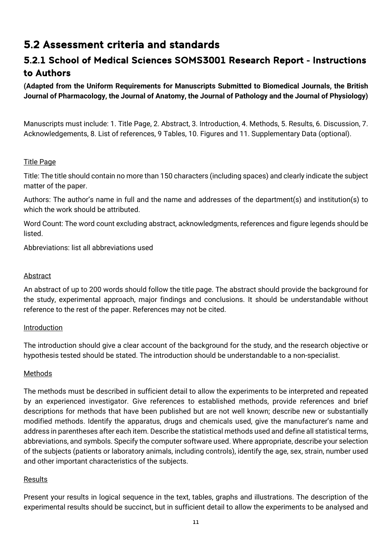## <span id="page-10-0"></span>5.2 Assessment criteria and standards

## <span id="page-10-1"></span>5.2.1 School of Medical Sciences SOMS3001 Research Report - Instructions to Authors

**(Adapted from the Uniform Requirements for Manuscripts Submitted to Biomedical Journals, the British Journal of Pharmacology, the Journal of Anatomy, the Journal of Pathology and the Journal of Physiology)**

Manuscripts must include: 1. Title Page, 2. Abstract, 3. Introduction, 4. Methods, 5. Results, 6. Discussion, 7. Acknowledgements, 8. List of references, 9 Tables, 10. Figures and 11. Supplementary Data (optional).

#### Title Page

Title: The title should contain no more than 150 characters (including spaces) and clearly indicate the subject matter of the paper.

Authors: The author's name in full and the name and addresses of the department(s) and institution(s) to which the work should be attributed.

Word Count: The word count excluding abstract, acknowledgments, references and figure legends should be listed.

Abbreviations: list all abbreviations used

#### Abstract

An abstract of up to 200 words should follow the title page. The abstract should provide the background for the study, experimental approach, major findings and conclusions. It should be understandable without reference to the rest of the paper. References may not be cited.

#### Introduction

The introduction should give a clear account of the background for the study, and the research objective or hypothesis tested should be stated. The introduction should be understandable to a non-specialist.

#### Methods

The methods must be described in sufficient detail to allow the experiments to be interpreted and repeated by an experienced investigator. Give references to established methods, provide references and brief descriptions for methods that have been published but are not well known; describe new or substantially modified methods. Identify the apparatus, drugs and chemicals used, give the manufacturer's name and address in parentheses after each item. Describe the statistical methods used and define all statistical terms, abbreviations, and symbols. Specify the computer software used. Where appropriate, describe your selection of the subjects (patients or laboratory animals, including controls), identify the age, sex, strain, number used and other important characteristics of the subjects.

#### Results

Present your results in logical sequence in the text, tables, graphs and illustrations. The description of the experimental results should be succinct, but in sufficient detail to allow the experiments to be analysed and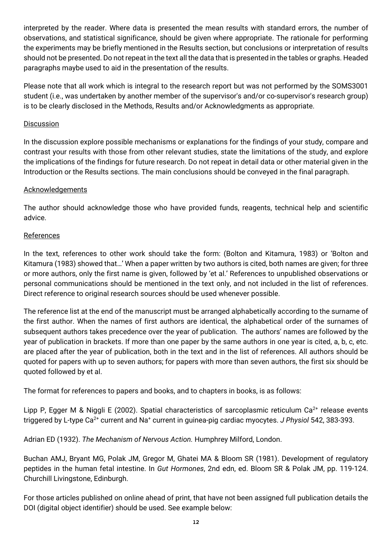interpreted by the reader. Where data is presented the mean results with standard errors, the number of observations, and statistical significance, should be given where appropriate. The rationale for performing the experiments may be briefly mentioned in the Results section, but conclusions or interpretation of results should not be presented. Do not repeat in the text all the data that is presented in the tables or graphs. Headed paragraphs maybe used to aid in the presentation of the results.

Please note that all work which is integral to the research report but was not performed by the SOMS3001 student (i.e., was undertaken by another member of the supervisor's and/or co-supervisor's research group) is to be clearly disclosed in the Methods, Results and/or Acknowledgments as appropriate.

#### **Discussion**

In the discussion explore possible mechanisms or explanations for the findings of your study, compare and contrast your results with those from other relevant studies, state the limitations of the study, and explore the implications of the findings for future research. Do not repeat in detail data or other material given in the Introduction or the Results sections. The main conclusions should be conveyed in the final paragraph.

#### Acknowledgements

The author should acknowledge those who have provided funds, reagents, technical help and scientific advice.

#### References

In the text, references to other work should take the form: (Bolton and Kitamura, 1983) or 'Bolton and Kitamura (1983) showed that…' When a paper written by two authors is cited, both names are given; for three or more authors, only the first name is given, followed by 'et al.' References to unpublished observations or personal communications should be mentioned in the text only, and not included in the list of references. Direct reference to original research sources should be used whenever possible.

The reference list at the end of the manuscript must be arranged alphabetically according to the surname of the first author. When the names of first authors are identical, the alphabetical order of the surnames of subsequent authors takes precedence over the year of publication. The authors' names are followed by the year of publication in brackets. If more than one paper by the same authors in one year is cited, a, b, c, etc. are placed after the year of publication, both in the text and in the list of references. All authors should be quoted for papers with up to seven authors; for papers with more than seven authors, the first six should be quoted followed by et al.

The format for references to papers and books, and to chapters in books, is as follows:

Lipp P, Egger M & Niggli E (2002). Spatial characteristics of sarcoplasmic reticulum Ca<sup>2+</sup> release events triggered by L-type Ca2+ current and Na+ current in guinea-pig cardiac myocytes. *J Physiol* 542, 383-393.

Adrian ED (1932). *The Mechanism of Nervous Action.* Humphrey Milford, London.

Buchan AMJ, Bryant MG, Polak JM, Gregor M, Ghatei MA & Bloom SR (1981). Development of regulatory peptides in the human fetal intestine. In *Gut Hormones*, 2nd edn, ed. Bloom SR & Polak JM, pp. 119-124. Churchill Livingstone, Edinburgh.

For those articles published on online ahead of print, that have not been assigned full publication details the DOI (digital object identifier) should be used. See example below: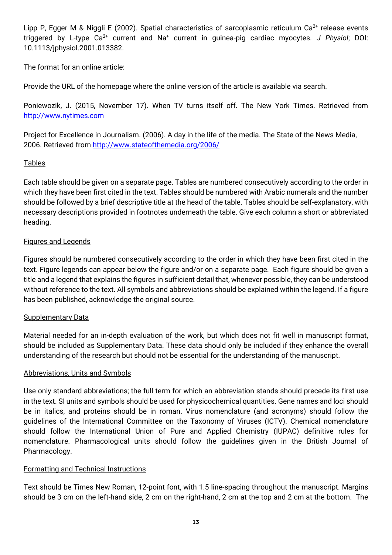Lipp P, Egger M & Niggli E (2002). Spatial characteristics of sarcoplasmic reticulum  $Ca^{2+}$  release events triggered by L-type Ca2+ current and Na+ current in guinea-pig cardiac myocytes. *J Physiol*; DOI: 10.1113/jphysiol.2001.013382.

The format for an online article:

Provide the URL of the homepage where the online version of the article is available via search.

Poniewozik, J. (2015, November 17). When TV turns itself off. The New York Times. Retrieved from [http://www.nytimes.com](http://www.nytimes.com/)

Project for Excellence in Journalism. (2006). A day in the life of the media. The State of the News Media, 2006. Retrieved from<http://www.stateofthemedia.org/2006/>

#### Tables

Each table should be given on a separate page. Tables are numbered consecutively according to the order in which they have been first cited in the text. Tables should be numbered with Arabic numerals and the number should be followed by a brief descriptive title at the head of the table. Tables should be self-explanatory, with necessary descriptions provided in footnotes underneath the table. Give each column a short or abbreviated heading.

#### Figures and Legends

Figures should be numbered consecutively according to the order in which they have been first cited in the text. Figure legends can appear below the figure and/or on a separate page. Each figure should be given a title and a legend that explains the figures in sufficient detail that, whenever possible, they can be understood without reference to the text. All symbols and abbreviations should be explained within the legend. If a figure has been published, acknowledge the original source.

#### Supplementary Data

Material needed for an in-depth evaluation of the work, but which does not fit well in manuscript format, should be included as Supplementary Data. These data should only be included if they enhance the overall understanding of the research but should not be essential for the understanding of the manuscript.

#### Abbreviations, Units and Symbols

Use only standard abbreviations; the full term for which an abbreviation stands should precede its first use in the text. SI units and symbols should be used for physicochemical quantities. Gene names and loci should be in italics, and proteins should be in roman. Virus nomenclature (and acronyms) should follow the guidelines of the International Committee on the Taxonomy of Viruses (ICTV). Chemical nomenclature should follow the International Union of Pure and Applied Chemistry (IUPAC) definitive rules for nomenclature. Pharmacological units should follow the guidelines given in the British Journal of Pharmacology.

#### Formatting and Technical Instructions

Text should be Times New Roman, 12-point font, with 1.5 line-spacing throughout the manuscript. Margins should be 3 cm on the left-hand side, 2 cm on the right-hand, 2 cm at the top and 2 cm at the bottom. The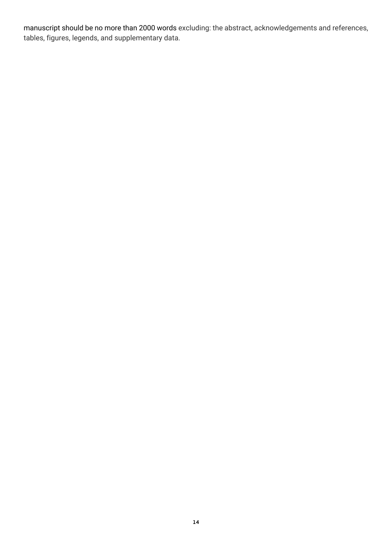manuscript should be no more than 2000 words excluding: the abstract, acknowledgements and references, tables, figures, legends, and supplementary data.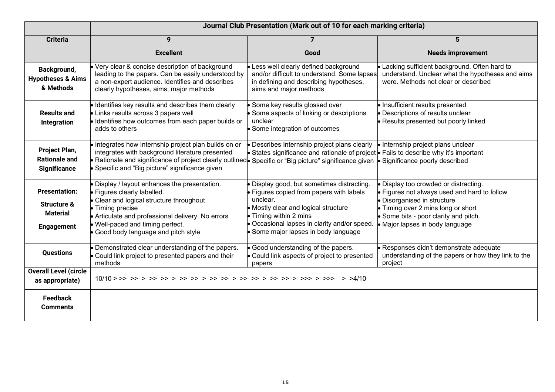|                                                                                        | Journal Club Presentation (Mark out of 10 for each marking criteria)                                                                                                                                                                                                                              |                                                                                                                                                                                                                                                            |                                                                                                                                                                                                                                              |
|----------------------------------------------------------------------------------------|---------------------------------------------------------------------------------------------------------------------------------------------------------------------------------------------------------------------------------------------------------------------------------------------------|------------------------------------------------------------------------------------------------------------------------------------------------------------------------------------------------------------------------------------------------------------|----------------------------------------------------------------------------------------------------------------------------------------------------------------------------------------------------------------------------------------------|
| <b>Criteria</b>                                                                        | 9                                                                                                                                                                                                                                                                                                 | $\overline{7}$                                                                                                                                                                                                                                             | 5                                                                                                                                                                                                                                            |
|                                                                                        | <b>Excellent</b>                                                                                                                                                                                                                                                                                  | Good                                                                                                                                                                                                                                                       | <b>Needs improvement</b>                                                                                                                                                                                                                     |
| Background,<br><b>Hypotheses &amp; Aims</b><br>& Methods                               | Very clear & concise description of background<br>leading to the papers. Can be easily understood by<br>a non-expert audience. Identifies and describes<br>clearly hypotheses, aims, major methods                                                                                                | • Less well clearly defined background<br>and/or difficult to understand. Some lapses<br>in defining and describing hypotheses,<br>aims and major methods                                                                                                  | Lacking sufficient background. Often hard to<br>understand. Unclear what the hypotheses and aims<br>were. Methods not clear or described                                                                                                     |
| <b>Results and</b><br>Integration                                                      | · Identifies key results and describes them clearly<br>• Links results across 3 papers well<br>· Identifies how outcomes from each paper builds or<br>adds to others                                                                                                                              | Some key results glossed over<br>• Some aspects of linking or descriptions<br>unclear<br>· Some integration of outcomes                                                                                                                                    | · Insufficient results presented<br>· Descriptions of results unclear<br>• Results presented but poorly linked                                                                                                                               |
| Project Plan,<br><b>Rationale and</b><br><b>Significance</b>                           | . Integrates how Internship project plan builds on or<br>integrates with background literature presented<br>Rationale and significance of project clearly outlinede Specific or "Big picture" significance given e Significance poorly described<br>Specific and "Big picture" significance given | • Describes Internship project plans clearly $\bullet$ Internship project plans unclear<br>• States significance and rationale of project • Fails to describe why it's important                                                                           |                                                                                                                                                                                                                                              |
| <b>Presentation:</b><br><b>Structure &amp;</b><br><b>Material</b><br><b>Engagement</b> | Display / layout enhances the presentation.<br>· Figures clearly labelled.<br>• Clear and logical structure throughout<br>• Timing precise<br>• Articulate and professional delivery. No errors<br>. Well-paced and timing perfect.<br>Good body language and pitch style                         | Display good, but sometimes distracting.<br>• Figures copied from papers with labels<br>unclear.<br>• Mostly clear and logical structure<br>• Timing within 2 mins<br>. Occasional lapses in clarity and/or speed.<br>• Some major lapses in body language | Display too crowded or distracting.<br>• Figures not always used and hard to follow<br>• Disorganised in structure<br>• Timing over 2 mins long or short<br>$\bullet$ Some bits - poor clarity and pitch.<br>• Major lapses in body language |
| <b>Questions</b>                                                                       | • Demonstrated clear understanding of the papers.<br>• Could link project to presented papers and their<br>methods                                                                                                                                                                                | • Good understanding of the papers.<br>• Could link aspects of project to presented<br>papers                                                                                                                                                              | Responses didn't demonstrate adequate<br>understanding of the papers or how they link to the<br>project                                                                                                                                      |
| <b>Overall Level (circle</b><br>as appropriate)                                        |                                                                                                                                                                                                                                                                                                   |                                                                                                                                                                                                                                                            |                                                                                                                                                                                                                                              |
| <b>Feedback</b><br><b>Comments</b>                                                     |                                                                                                                                                                                                                                                                                                   |                                                                                                                                                                                                                                                            |                                                                                                                                                                                                                                              |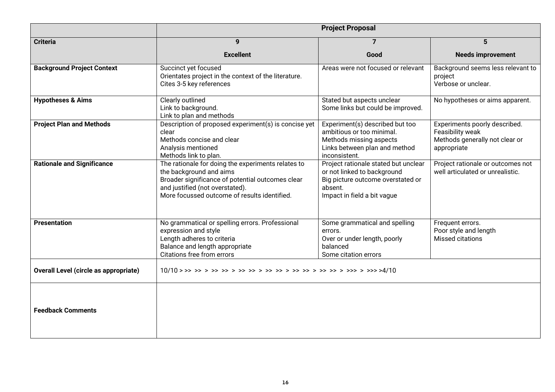|                                              | <b>Project Proposal</b>                                                                                                                                                                                                                                                                                                                                       |                                                                                                                                                    |                                                                                                    |  |
|----------------------------------------------|---------------------------------------------------------------------------------------------------------------------------------------------------------------------------------------------------------------------------------------------------------------------------------------------------------------------------------------------------------------|----------------------------------------------------------------------------------------------------------------------------------------------------|----------------------------------------------------------------------------------------------------|--|
| <b>Criteria</b>                              | 9                                                                                                                                                                                                                                                                                                                                                             | $\overline{7}$                                                                                                                                     | 5                                                                                                  |  |
|                                              | <b>Excellent</b>                                                                                                                                                                                                                                                                                                                                              | Good                                                                                                                                               | <b>Needs improvement</b>                                                                           |  |
| <b>Background Project Context</b>            | Succinct yet focused<br>Orientates project in the context of the literature.<br>Cites 3-5 key references                                                                                                                                                                                                                                                      | Areas were not focused or relevant                                                                                                                 | Background seems less relevant to<br>project<br>Verbose or unclear.                                |  |
| <b>Hypotheses &amp; Aims</b>                 | Clearly outlined<br>Link to background.<br>Link to plan and methods                                                                                                                                                                                                                                                                                           | Stated but aspects unclear<br>Some links but could be improved.                                                                                    | No hypotheses or aims apparent.                                                                    |  |
| <b>Project Plan and Methods</b>              | Description of proposed experiment(s) is concise yet<br>clear<br>Methods concise and clear<br>Analysis mentioned<br>Methods link to plan.                                                                                                                                                                                                                     | Experiment(s) described but too<br>ambitious or too minimal.<br>Methods missing aspects<br>Links between plan and method<br>inconsistent.          | Experiments poorly described.<br>Feasibility weak<br>Methods generally not clear or<br>appropriate |  |
| <b>Rationale and Significance</b>            | The rationale for doing the experiments relates to<br>the background and aims<br>Broader significance of potential outcomes clear<br>and justified (not overstated).<br>More focussed outcome of results identified.                                                                                                                                          | Project rationale stated but unclear<br>or not linked to background<br>Big picture outcome overstated or<br>absent.<br>Impact in field a bit vague | Project rationale or outcomes not<br>well articulated or unrealistic.                              |  |
| <b>Presentation</b>                          | No grammatical or spelling errors. Professional<br>Some grammatical and spelling<br>Frequent errors.<br>expression and style<br>Poor style and length<br>errors.<br>Length adheres to criteria<br><b>Missed citations</b><br>Over or under length, poorly<br>Balance and length appropriate<br>balanced<br>Citations free from errors<br>Some citation errors |                                                                                                                                                    |                                                                                                    |  |
| <b>Overall Level (circle as appropriate)</b> |                                                                                                                                                                                                                                                                                                                                                               |                                                                                                                                                    |                                                                                                    |  |
| <b>Feedback Comments</b>                     |                                                                                                                                                                                                                                                                                                                                                               |                                                                                                                                                    |                                                                                                    |  |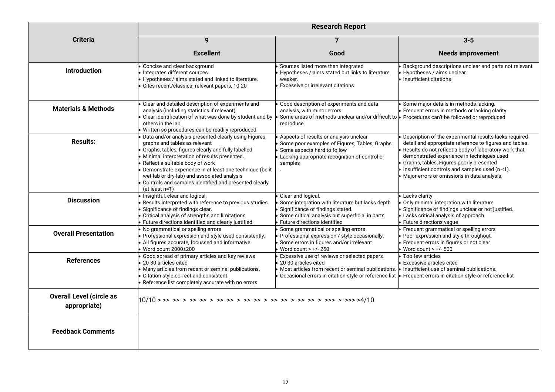|                                                 | <b>Research Report</b>                                                                                                                                                                                                                                                                                                                                                                                                 |                                                                                                                                                                                               |                                                                                                                                                                                                                                                                                                                                                                       |
|-------------------------------------------------|------------------------------------------------------------------------------------------------------------------------------------------------------------------------------------------------------------------------------------------------------------------------------------------------------------------------------------------------------------------------------------------------------------------------|-----------------------------------------------------------------------------------------------------------------------------------------------------------------------------------------------|-----------------------------------------------------------------------------------------------------------------------------------------------------------------------------------------------------------------------------------------------------------------------------------------------------------------------------------------------------------------------|
| <b>Criteria</b>                                 | 9                                                                                                                                                                                                                                                                                                                                                                                                                      | $\overline{7}$                                                                                                                                                                                | $3 - 5$                                                                                                                                                                                                                                                                                                                                                               |
|                                                 | <b>Excellent</b>                                                                                                                                                                                                                                                                                                                                                                                                       | Good                                                                                                                                                                                          | <b>Needs improvement</b>                                                                                                                                                                                                                                                                                                                                              |
| <b>Introduction</b>                             | Concise and clear background<br>Integrates different sources<br>Hypotheses / aims stated and linked to literature.<br>Cites recent/classical relevant papers, 10-20                                                                                                                                                                                                                                                    | Sources listed more than integrated<br>Hypotheses / aims stated but links to literature<br>weaker.<br>Excessive or irrelevant citations                                                       | Background descriptions unclear and parts not relevant<br>Hypotheses / aims unclear.<br>Insufficient citations                                                                                                                                                                                                                                                        |
| <b>Materials &amp; Methods</b>                  | Clear and detailed description of experiments and<br>analysis (including statistics if relevant)<br>Clear identification of what was done by student and by<br>others in the lab.<br>Written so procedures can be readily reproduced                                                                                                                                                                                   | Good description of experiments and data<br>analysis, with minor errors.<br>Some areas of methods unclear and/or difficult to <b>Perocedures can't be followed or reproduced</b><br>reproduce | Some major details in methods lacking.<br>Frequent errors in methods or lacking clarity.                                                                                                                                                                                                                                                                              |
| <b>Results:</b>                                 | Data and/or analysis presented clearly using Figures,<br>graphs and tables as relevant<br>Graphs, tables, figures clearly and fully labelled<br>Minimal interpretation of results presented.<br>Reflect a suitable body of work<br>Demonstrate experience in at least one technique (be it<br>wet-lab or dry-lab) and associated analysis<br>Controls and samples identified and presented clearly<br>$(at least n=1)$ | Aspects of results or analysis unclear<br>Some poor examples of Figures, Tables, Graphs<br>Some aspects hard to follow<br>Lacking appropriate recognition of control or<br>samples            | Description of the experimental results lacks required<br>detail and appropriate reference to figures and tables.<br>Results do not reflect a body of laboratory work that<br>demonstrated experience in techniques used<br>Graphs, tables, Figures poorly presented<br>Insufficient controls and samples used (n <1).<br>Major errors or omissions in data analysis. |
| <b>Discussion</b>                               | Insightful, clear and logical.<br>Results interpreted with reference to previous studies.<br>Significance of findings clear.<br>Critical analysis of strengths and limitations<br>Future directions identified and clearly justified.                                                                                                                                                                                  | Clear and logical.<br>Some integration with literature but lacks depth<br>Significance of findings stated.<br>Some critical analysis but superficial in parts<br>Future directions identified | Lacks clarity<br>Only minimal integration with literature<br>Significance of findings unclear or not justified.<br>Lacks critical analysis of approach<br>Future directions vague                                                                                                                                                                                     |
| <b>Overall Presentation</b>                     | No grammatical or spelling errors<br>Professional expression and style used consistently.<br>All figures accurate, focussed and informative<br>Word count 2000±200                                                                                                                                                                                                                                                     | Some grammatical or spelling errors<br>Professional expression / style occasionally.<br>Some errors in figures and/or irrelevant<br>Word count $> +/- 250$                                    | Frequent grammatical or spelling errors<br>Poor expression and style throughout.<br>Frequent errors in figures or not clear<br>Word count $> +/- 500$                                                                                                                                                                                                                 |
| <b>References</b>                               | Good spread of primary articles and key reviews<br>20-30 articles cited<br>Many articles from recent or seminal publications.<br>Citation style correct and consistent<br>Reference list completely accurate with no errors                                                                                                                                                                                            | Excessive use of reviews or selected papers<br>20-30 articles cited<br>Most articles from recent or seminal publications.<br>Occasional errors in citation style or reference list •          | Too few articles<br>Excessive articles cited<br>• Insufficient use of seminal publications.<br>Frequent errors in citation style or reference list                                                                                                                                                                                                                    |
| <b>Overall Level (circle as</b><br>appropriate) |                                                                                                                                                                                                                                                                                                                                                                                                                        |                                                                                                                                                                                               |                                                                                                                                                                                                                                                                                                                                                                       |
| <b>Feedback Comments</b>                        |                                                                                                                                                                                                                                                                                                                                                                                                                        |                                                                                                                                                                                               |                                                                                                                                                                                                                                                                                                                                                                       |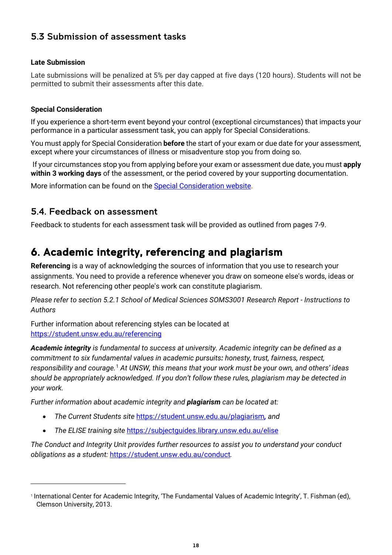## <span id="page-17-0"></span>5.3 Submission of assessment tasks

#### **Late Submission**

Late submissions will be penalized at 5% per day capped at five days (120 hours). Students will not be permitted to submit their assessments after this date.

#### **Special Consideration**

If you experience a short-term event beyond your control (exceptional circumstances) that impacts your performance in a particular assessment task, you can apply for Special Considerations.

You must apply for Special Consideration **before** the start of your exam or due date for your assessment, except where your circumstances of illness or misadventure stop you from doing so.

If your circumstances stop you from applying before your exam or assessment due date, you must **apply within 3 working days** of the assessment, or the period covered by your supporting documentation.

More information can be found on the [Special Consideration website.](https://www.student.unsw.edu.au/special-consideration)

#### <span id="page-17-1"></span>5.4. Feedback on assessment

Feedback to students for each assessment task will be provided as outlined from pages 7-9.

## <span id="page-17-2"></span>6. Academic integrity, referencing and plagiarism

**Referencing** is a way of acknowledging the sources of information that you use to research your assignments. You need to provide a reference whenever you draw on someone else's words, ideas or research. Not referencing other people's work can constitute plagiarism.

*Please refer to section 5.2.1 School of Medical Sciences SOMS3001 Research Report - Instructions to Authors*

Further information about referencing styles can be located at <https://student.unsw.edu.au/referencing>

*Academic integrity is fundamental to success at university. Academic integrity can be defined as a commitment to six fundamental values in academic pursuits: honesty, trust, fairness, respect, responsibility and courage.*[1](#page-17-3) *At UNSW, this means that your work must be your own, and others' ideas should be appropriately acknowledged. If you don't follow these rules, plagiarism may be detected in your work.* 

*Further information about academic integrity and plagiarism can be located at:*

- *The Current Students site* <https://student.unsw.edu.au/plagiarism>*, and*
- *The ELISE training site* <https://subjectguides.library.unsw.edu.au/elise>

*The Conduct and Integrity Unit provides further resources to assist you to understand your conduct obligations as a student:* <https://student.unsw.edu.au/conduct>*.*

<span id="page-17-3"></span><sup>1</sup> International Center for Academic Integrity, 'The Fundamental Values of Academic Integrity', T. Fishman (ed), Clemson University, 2013.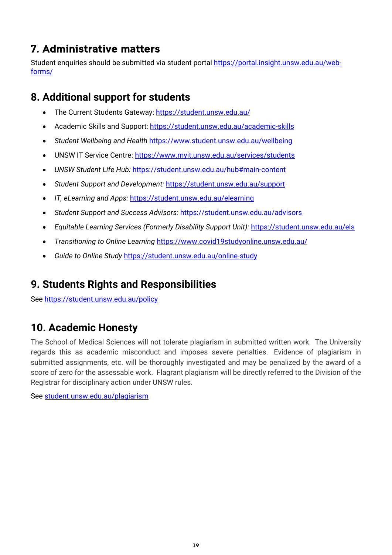# <span id="page-18-0"></span>7. Administrative matters

Student enquiries should be submitted via student portal [https://portal.insight.unsw.edu.au/web](https://portal.insight.unsw.edu.au/web-forms/)[forms/](https://portal.insight.unsw.edu.au/web-forms/)

## <span id="page-18-1"></span>**8. Additional support for students**

- The Current Students Gateway:<https://student.unsw.edu.au/>
- Academic Skills and Support:<https://student.unsw.edu.au/academic-skills>
- *Student Wellbeing and Health* <https://www.student.unsw.edu.au/wellbeing>
- UNSW IT Service Centre:<https://www.myit.unsw.edu.au/services/students>
- *UNSW Student Life Hub:* <https://student.unsw.edu.au/hub#main-content>
- *Student Support and Development:* <https://student.unsw.edu.au/support>
- *IT, eLearning and Apps:* <https://student.unsw.edu.au/elearning>
- *Student Support and Success Advisors:* <https://student.unsw.edu.au/advisors>
- *Equitable Learning Services (Formerly Disability Support Unit):* <https://student.unsw.edu.au/els>
- *Transitioning to Online Learning* <https://www.covid19studyonline.unsw.edu.au/>
- *Guide to Online Study* <https://student.unsw.edu.au/online-study>

## <span id="page-18-2"></span>**9. Students Rights and Responsibilities**

See<https://student.unsw.edu.au/policy>

## <span id="page-18-3"></span>**10. Academic Honesty**

The School of Medical Sciences will not tolerate plagiarism in submitted written work. The University regards this as academic misconduct and imposes severe penalties. Evidence of plagiarism in submitted assignments, etc. will be thoroughly investigated and may be penalized by the award of a score of zero for the assessable work. Flagrant plagiarism will be directly referred to the Division of the Registrar for disciplinary action under UNSW rules.

See [student.unsw.edu.au/plagiarism](https://student.unsw.edu.au/plagiarism)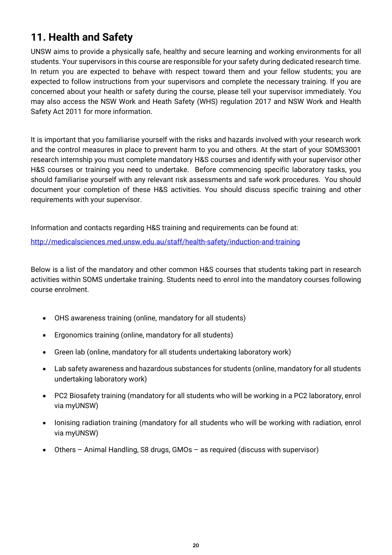# <span id="page-19-0"></span>**11. Health and Safety**

UNSW aims to provide a physically safe, healthy and secure learning and working environments for all students. Your supervisors in this course are responsible for your safety during dedicated research time. In return you are expected to behave with respect toward them and your fellow students; you are expected to follow instructions from your supervisors and complete the necessary training. If you are concerned about your health or safety during the course, please tell your supervisor immediately. You may also access the NSW Work and Heath Safety (WHS) regulation 2017 and NSW Work and Health Safety Act 2011 for more information.

It is important that you familiarise yourself with the risks and hazards involved with your research work and the control measures in place to prevent harm to you and others. At the start of your SOMS3001 research internship you must complete mandatory H&S courses and identify with your supervisor other H&S courses or training you need to undertake. Before commencing specific laboratory tasks, you should familiarise yourself with any relevant risk assessments and safe work procedures. You should document your completion of these H&S activities. You should discuss specific training and other requirements with your supervisor.

Information and contacts regarding H&S training and requirements can be found at: <http://medicalsciences.med.unsw.edu.au/staff/health-safety/induction-and-training>

Below is a list of the mandatory and other common H&S courses that students taking part in research activities within SOMS undertake training. Students need to enrol into the mandatory courses following course enrolment.

- OHS awareness training (online, mandatory for all students)
- Ergonomics training (online, mandatory for all students)
- Green lab (online, mandatory for all students undertaking laboratory work)
- Lab safety awareness and hazardous substances for students (online, mandatory for all students undertaking laboratory work)
- PC2 Biosafety training (mandatory for all students who will be working in a PC2 laboratory, enrol via myUNSW)
- Ionising radiation training (mandatory for all students who will be working with radiation, enrol via myUNSW)
- Others Animal Handling, S8 drugs, GMOs as required (discuss with supervisor)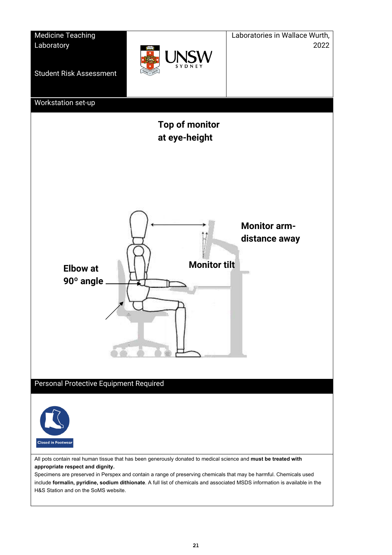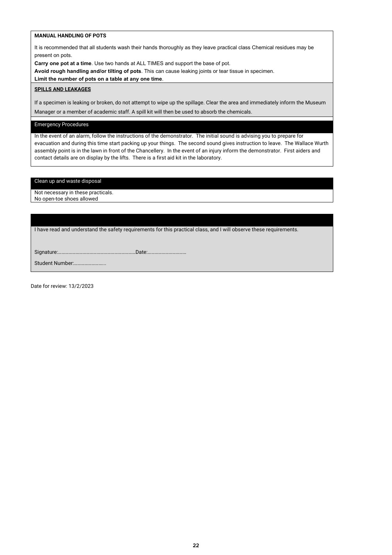#### **MANUAL HANDLING OF POTS**

It is recommended that all students wash their hands thoroughly as they leave practical class Chemical residues may be present on pots.

**Carry one pot at a time**. Use two hands at ALL TIMES and support the base of pot.

**Avoid rough handling and/or tilting of pots**. This can cause leaking joints or tear tissue in specimen.

**Limit the number of pots on a table at any one time**.

#### **SPILLS AND LEAKAGES**

If a specimen is leaking or broken, do not attempt to wipe up the spillage. Clear the area and immediately inform the Museum Manager or a member of academic staff. A spill kit will then be used to absorb the chemicals.

#### Emergency Procedures

In the event of an alarm, follow the instructions of the demonstrator. The initial sound is advising you to prepare for evacuation and during this time start packing up your things. The second sound gives instruction to leave. The Wallace Wurth assembly point is in the lawn in front of the Chancellery. In the event of an injury inform the demonstrator. First aiders and contact details are on display by the lifts. There is a first aid kit in the laboratory.

Clean up and waste disposal

Not necessary in these practicals. No open-toe shoes allowed

I have read and understand the safety requirements for this practical class, and I will observe these requirements.

Signature:…………………………………………………………Date:……………………………

Student Number:……………………...

Date for review: 13/2/2023